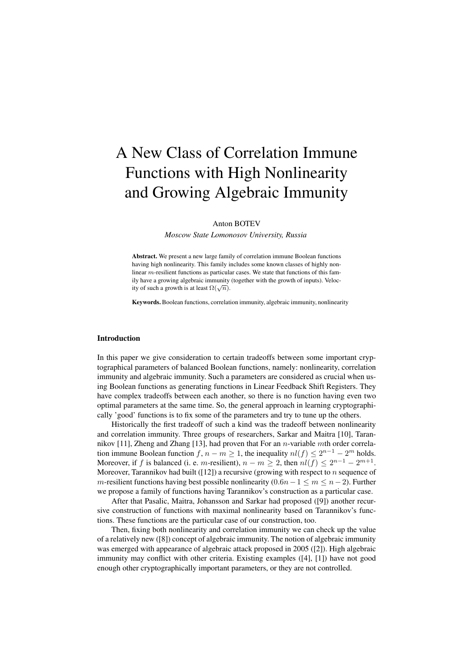# A New Class of Correlation Immune Functions with High Nonlinearity and Growing Algebraic Immunity

Anton BOTEV

*Moscow State Lomonosov University, Russia*

Abstract. We present a new large family of correlation immune Boolean functions having high nonlinearity. This family includes some known classes of highly nonlinear m-resilient functions as particular cases. We state that functions of this family have a growing algebraic immunity (together with the growth of inputs). Velocity of such a growth is at least  $\Omega(\sqrt{n})$ .

Keywords. Boolean functions, correlation immunity, algebraic immunity, nonlinearity

#### Introduction

In this paper we give consideration to certain tradeoffs between some important cryptographical parameters of balanced Boolean functions, namely: nonlinearity, correlation immunity and algebraic immunity. Such a parameters are considered as crucial when using Boolean functions as generating functions in Linear Feedback Shift Registers. They have complex tradeoffs between each another, so there is no function having even two optimal parameters at the same time. So, the general approach in learning cryptographically 'good' functions is to fix some of the parameters and try to tune up the others.

Historically the first tradeoff of such a kind was the tradeoff between nonlinearity and correlation immunity. Three groups of researchers, Sarkar and Maitra [10], Tarannikov [11], Zheng and Zhang [13], had proven that For an *n*-variable *mth* order correlation immune Boolean function  $f, n - m \geq 1$ , the inequality  $nl(f) \leq 2^{n-1} - 2^m$  holds. Moreover, if f is balanced (i. e. m-resilient),  $n - m \geq 2$ , then  $nl(f) \leq 2^{n-1} - 2^{m+1}$ . Moreover, Tarannikov had built ([12]) a recursive (growing with respect to  $n$  sequence of m-resilient functions having best possible nonlinearity  $(0.6n-1 \le m \le n-2)$ . Further we propose a family of functions having Tarannikov's construction as a particular case.

After that Pasalic, Maitra, Johansson and Sarkar had proposed ([9]) another recursive construction of functions with maximal nonlinearity based on Tarannikov's functions. These functions are the particular case of our construction, too.

Then, fixing both nonlinearity and correlation immunity we can check up the value of a relatively new ([8]) concept of algebraic immunity. The notion of algebraic immunity was emerged with appearance of algebraic attack proposed in 2005 ([2]). High algebraic immunity may conflict with other criteria. Existing examples ([4], [1]) have not good enough other cryptographically important parameters, or they are not controlled.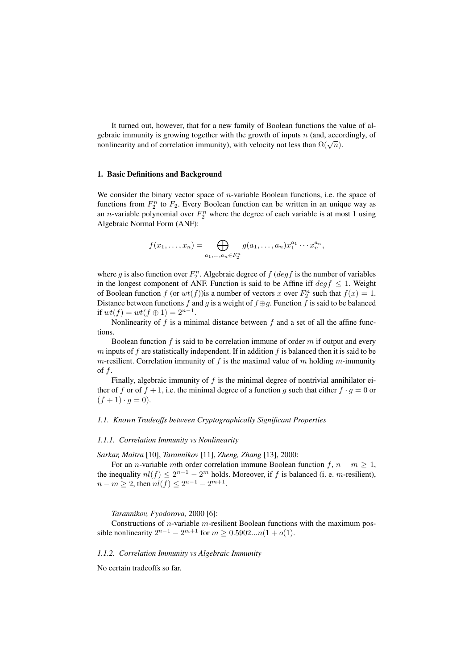It turned out, however, that for a new family of Boolean functions the value of algebraic immunity is growing together with the growth of inputs  $n$  (and, accordingly, of georald immunity is growing together with the growth of inputs  $n$  (and, according nonlinearity and of correlation immunity), with velocity not less than  $\Omega(\sqrt{n})$ .

#### 1. Basic Definitions and Background

We consider the binary vector space of  $n$ -variable Boolean functions, i.e. the space of functions from  $F_2^n$  to  $F_2$ . Every Boolean function can be written in an unique way as an *n*-variable polynomial over  $F_2^n$  where the degree of each variable is at most 1 using Algebraic Normal Form (ANF):

$$
f(x_1,...,x_n) = \bigoplus_{a_1,...,a_n \in F_2^n} g(a_1,...,a_n) x_1^{a_1} \cdots x_n^{a_n},
$$

where g is also function over  $F_2^n$ . Algebraic degree of  $f$  ( $deg f$  is the number of variables in the longest component of ANF. Function is said to be Affine iff  $\deg f \leq 1$ . Weight of Boolean function f (or  $wt(f)$ ) is a number of vectors x over  $F_2^n$  such that  $f(x) = 1$ . Distance between functions f and g is a weight of  $f \oplus g$ . Function f is said to be balanced if  $wt(f) = wt(f \oplus 1) = 2^{n-1}$ .

Nonlinearity of  $f$  is a minimal distance between  $f$  and a set of all the affine functions.

Boolean function  $f$  is said to be correlation immune of order  $m$  if output and every  $m$  inputs of  $f$  are statistically independent. If in addition  $f$  is balanced then it is said to be m-resilient. Correlation immunity of f is the maximal value of m holding m-immunity of  $f$ .

Finally, algebraic immunity of  $f$  is the minimal degree of nontrivial annihilator either of f or of  $f + 1$ , i.e. the minimal degree of a function g such that either  $f \cdot g = 0$  or  $(f + 1) \cdot q = 0$ .

# *1.1. Known Tradeoffs between Cryptographically Significant Properties*

## *1.1.1. Correlation Immunity vs Nonlinearity*

#### *Sarkar, Maitra* [10], *Tarannikov* [11], *Zheng, Zhang* [13], 2000:

For an *n*-variable mth order correlation immune Boolean function  $f, n - m \geq 1$ , the inequality  $nl(f) \leq 2^{n-1} - 2^m$  holds. Moreover, if f is balanced (i. e. m-resilient),  $n - m \geq 2$ , then  $nl(f) \leq 2^{n-1} - 2^{m+1}$ .

*Tarannikov, Fyodorova,* 2000 [6]:

Constructions of *n*-variable *m*-resilient Boolean functions with the maximum possible nonlinearity  $2^{n-1} - 2^{m+1}$  for  $m \ge 0.5902...n(1 + o(1))$ .

# *1.1.2. Correlation Immunity vs Algebraic Immunity*

No certain tradeoffs so far.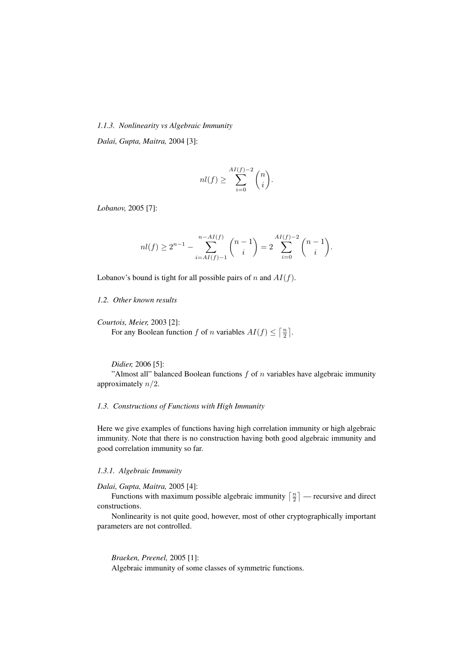# *1.1.3. Nonlinearity vs Algebraic Immunity*

*Dalai, Gupta, Maitra,* 2004 [3]:

$$
nl(f) \ge \sum_{i=0}^{AI(f)-2} \binom{n}{i}.
$$

*Lobanov,* 2005 [7]:

$$
nl(f) \ge 2^{n-1} - \sum_{i=AI(f)-1}^{n-AI(f)} \binom{n-1}{i} = 2 \sum_{i=0}^{AI(f)-2} \binom{n-1}{i}.
$$

Lobanov's bound is tight for all possible pairs of n and  $AI(f)$ .

## *1.2. Other known results*

*Courtois, Meier,* 2003 [2]: For any Boolean function f of n variables  $AI(f) \leq$  $\left\lceil \frac{n}{2} \right\rceil$ ¨ .

*Didier,* 2006 [5]: "Almost all" balanced Boolean functions  $f$  of  $n$  variables have algebraic immunity approximately  $n/2$ .

## *1.3. Constructions of Functions with High Immunity*

Here we give examples of functions having high correlation immunity or high algebraic immunity. Note that there is no construction having both good algebraic immunity and good correlation immunity so far.

## *1.3.1. Algebraic Immunity*

*Dalai, Gupta, Maitra,* 2005 [4]:

*u*, *Gupta*, *Mattra*, 2005 [4]:<br>Functions with maximum possible algebraic immunity  $\lceil \frac{n}{2} \rceil$ ¨ — recursive and direct constructions.

Nonlinearity is not quite good, however, most of other cryptographically important parameters are not controlled.

*Braeken, Preenel,* 2005 [1]: Algebraic immunity of some classes of symmetric functions.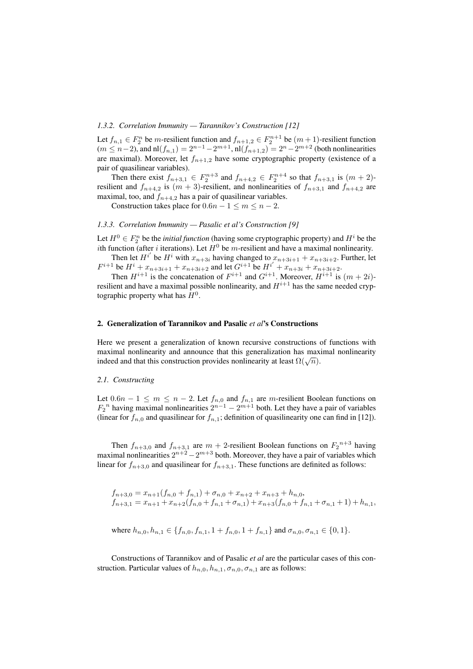# *1.3.2. Correlation Immunity — Tarannikov's Construction [12]*

Let  $f_{n,1} \in F_2^n$  be *m*-resilient function and  $f_{n+1,2} \in F_2^{n+1}$  be  $(m+1)$ -resilient function  $(m \le n-2)$ , and nl $(f_{n,1}) = 2^{n-1} - 2^{m+1}$ , nl $(f_{n+1,2}) = 2^n - 2^{m+2}$  (both nonlinearities are maximal). Moreover, let  $f_{n+1,2}$  have some cryptographic property (existence of a pair of quasilinear variables).

Then there exist  $f_{n+3,1} \in F_2^{n+3}$  and  $f_{n+4,2} \in F_2^{n+4}$  so that  $f_{n+3,1}$  is  $(m+2)$ resilient and  $f_{n+4,2}$  is  $(m + 3)$ -resilient, and nonlinearities of  $f_{n+3,1}$  and  $f_{n+4,2}$  are maximal, too, and  $f_{n+4,2}$  has a pair of quasilinear variables.

Construction takes place for  $0.6n - 1 \le m \le n - 2$ .

# *1.3.3. Correlation Immunity — Pasalic et al's Construction [9]*

Let  $H^0 \in F_2^n$  be the *initial function* (having some cryptographic property) and  $H^i$  be the ith function (after i iterations). Let  $H^0$  be m-resilient and have a maximal nonlinearity.

Then let  $H^{i'}$  be  $H^{i}$  with  $x_{n+3i}$  having changed to  $x_{n+3i+1} + x_{n+3i+2}$ . Further, let  $F^{i+1}$  be  $H^i + x_{n+3i+1} + x_{n+3i+2}$  and let  $G^{i+1}$  be  $H^{i'} + x_{n+3i} + x_{n+3i+2}$ .

Then  $H^{i+1}$  is the concatenation of  $F^{i+1}$  and  $G^{i+1}$ . Moreover,  $H^{i+1}$  is  $(m+2i)$ resilient and have a maximal possible nonlinearity, and  $H^{i+1}$  has the same needed cryptographic property what has  $H^0$ .

#### 2. Generalization of Tarannikov and Pasalic *et al*'s Constructions

Here we present a generalization of known recursive constructions of functions with maximal nonlinearity and announce that this generalization has maximal nonlinearity maximal nonlinearity and announce that this generalization has maximated and that this construction provides nonlinearity at least  $\Omega(\sqrt{n})$ .

#### *2.1. Constructing*

Let  $0.6n - 1 \le m \le n - 2$ . Let  $f_{n,0}$  and  $f_{n,1}$  are m-resilient Boolean functions on  $F_2$ <sup>n</sup> having maximal nonlinearities  $2^{n-1} - 2^{m+1}$  both. Let they have a pair of variables (linear for  $f_{n,0}$  and quasilinear for  $f_{n,1}$ ; definition of quasilinearity one can find in [12]).

Then  $f_{n+3,0}$  and  $f_{n+3,1}$  are  $m+2$ -resilient Boolean functions on  $F_2^{n+3}$  having maximal nonlinearities  $2^{n+2} - 2^{m+3}$  both. Moreover, they have a pair of variables which linear for  $f_{n+3,0}$  and quasilinear for  $f_{n+3,1}$ . These functions are definited as follows:

 $f_{n+3,0} = x_{n+1}(f_{n,0} + f_{n,1}) + \sigma_{n,0} + x_{n+2} + x_{n+3} + h_{n,0}$  $f_{n+3,1} = x_{n+1} + x_{n+2}(f_{n,0} + f_{n,1} + \sigma_{n,1}) + x_{n+3}(f_{n,0} + f_{n,1} + \sigma_{n,1} + 1) + h_{n,1},$ 

where 
$$
h_{n,0}, h_{n,1} \in \{f_{n,0}, f_{n,1}, 1 + f_{n,0}, 1 + f_{n,1}\}
$$
 and  $\sigma_{n,0}, \sigma_{n,1} \in \{0, 1\}$ .

Constructions of Tarannikov and of Pasalic *et al* are the particular cases of this construction. Particular values of  $h_{n,0}, h_{n,1}, \sigma_{n,0}, \sigma_{n,1}$  are as follows: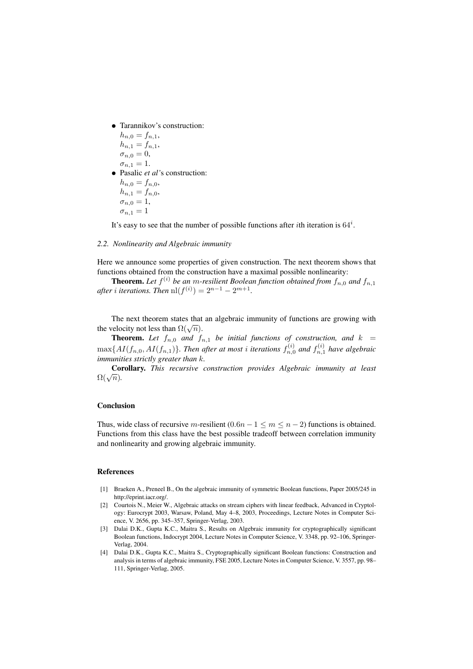• Tarannikov's construction:

 $h_{n,0} = f_{n,1}$  $h_{n,1} = f_{n,1},$  $\sigma_{n,0} = 0$ ,

$$
\sigma_{n,1} = 1.
$$

• Pasalic *et al'*s construction:  $h_{n,0} = f_{n,0}$ 

$$
h_{n,1} = f_{n,0},
$$

 $\sigma_{n,0} = 1,$  $\sigma_{n,1}=1$ 

It's easy to see that the number of possible functions after *i*th iteration is  $64^i$ .

#### *2.2. Nonlinearity and Algebraic immunity*

Here we announce some properties of given construction. The next theorem shows that functions obtained from the construction have a maximal possible nonlinearity:

**Theorem.** Let  $f^{(i)}$  be an m-resilient Boolean function obtained from  $f_{n,0}$  and  $f_{n,1}$ *after i iterations. Then*  $\text{nl}(f^{(i)}) = 2^{n-1} - 2^{m+1}$ *.* 

The next theorem states that an algebraic immunity of functions are growing with The next theorem states that<br>the velocity not less than  $\Omega(\sqrt{n})$ .

**Theorem.** Let  $f_{n,0}$  and  $f_{n,1}$  be initial functions of construction, and  $k =$  $\max\{AI(f_{n,0}, AI(f_{n,1})\}$ . Then after at most *i* iterations  $f_{n,0}^{(i)}$  and  $f_{n,1}^{(i)}$  have algebraic *immunities strictly greater than* k*.*

Corollary. *This recursive construction provides Algebraic immunity at least*  $\frac{C_{01}}{\Omega(\sqrt{n})}$ .

# Conclusion

Thus, wide class of recursive m-resilient  $(0.6n - 1 \le m \le n - 2)$  functions is obtained. Functions from this class have the best possible tradeoff between correlation immunity and nonlinearity and growing algebraic immunity.

#### References

- [1] Braeken A., Preneel B., On the algebraic immunity of symmetric Boolean functions, Paper 2005/245 in http://eprint.iacr.org/.
- [2] Courtois N., Meier W., Algebraic attacks on stream ciphers with linear feedback, Advanced in Cryptology: Eurocrypt 2003, Warsaw, Poland, May 4–8, 2003, Proceedings, Lecture Notes in Computer Science, V. 2656, pp. 345–357, Springer-Verlag, 2003.
- [3] Dalai D.K., Gupta K.C., Maitra S., Results on Algebraic immunity for cryptographically significant Boolean functions, Indocrypt 2004, Lecture Notes in Computer Science, V. 3348, pp. 92–106, Springer-Verlag, 2004.
- [4] Dalai D.K., Gupta K.C., Maitra S., Cryptographically significant Boolean functions: Construction and analysis in terms of algebraic immunity, FSE 2005, Lecture Notes in Computer Science, V. 3557, pp. 98– 111, Springer-Verlag, 2005.